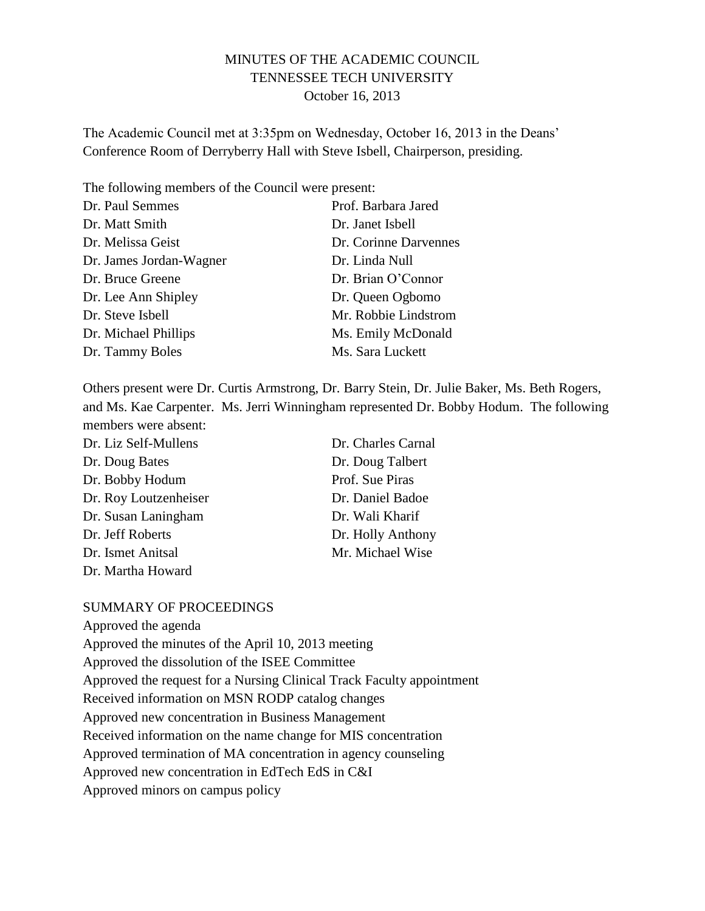### MINUTES OF THE ACADEMIC COUNCIL TENNESSEE TECH UNIVERSITY October 16, 2013

The Academic Council met at 3:35pm on Wednesday, October 16, 2013 in the Deans' Conference Room of Derryberry Hall with Steve Isbell, Chairperson, presiding.

The following members of the Council were present:

| Prof. Barbara Jared   |
|-----------------------|
| Dr. Janet Isbell      |
| Dr. Corinne Darvennes |
| Dr. Linda Null        |
| Dr. Brian O'Connor    |
| Dr. Queen Ogbomo      |
| Mr. Robbie Lindstrom  |
| Ms. Emily McDonald    |
| Ms. Sara Luckett      |
|                       |

Others present were Dr. Curtis Armstrong, Dr. Barry Stein, Dr. Julie Baker, Ms. Beth Rogers, and Ms. Kae Carpenter. Ms. Jerri Winningham represented Dr. Bobby Hodum. The following members were absent:

| Dr. Liz Self-Mullens  | Dr. Charles Carnal |
|-----------------------|--------------------|
| Dr. Doug Bates        | Dr. Doug Talbert   |
| Dr. Bobby Hodum       | Prof. Sue Piras    |
| Dr. Roy Loutzenheiser | Dr. Daniel Badoe   |
| Dr. Susan Laningham   | Dr. Wali Kharif    |
| Dr. Jeff Roberts      | Dr. Holly Anthony  |
| Dr. Ismet Anitsal     | Mr. Michael Wise   |
| Dr. Martha Howard     |                    |

#### SUMMARY OF PROCEEDINGS

Approved the agenda

Approved the minutes of the April 10, 2013 meeting

Approved the dissolution of the ISEE Committee

Approved the request for a Nursing Clinical Track Faculty appointment

Received information on MSN RODP catalog changes

Approved new concentration in Business Management

Received information on the name change for MIS concentration

Approved termination of MA concentration in agency counseling

Approved new concentration in EdTech EdS in C&I

Approved minors on campus policy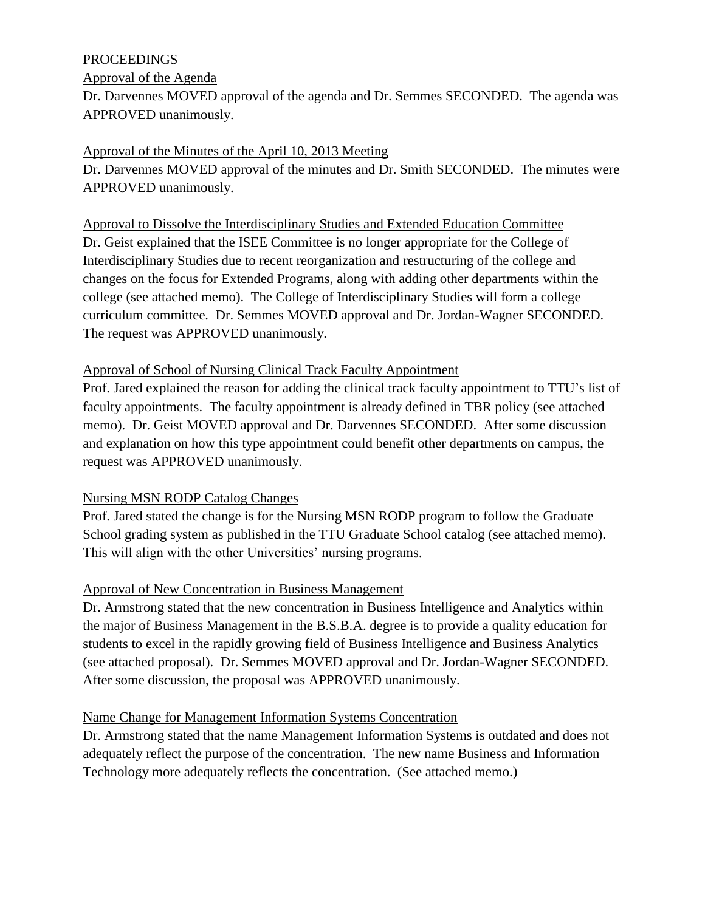### PROCEEDINGS

Approval of the Agenda

Dr. Darvennes MOVED approval of the agenda and Dr. Semmes SECONDED. The agenda was APPROVED unanimously.

## Approval of the Minutes of the April 10, 2013 Meeting

Dr. Darvennes MOVED approval of the minutes and Dr. Smith SECONDED. The minutes were APPROVED unanimously.

Approval to Dissolve the Interdisciplinary Studies and Extended Education Committee Dr. Geist explained that the ISEE Committee is no longer appropriate for the College of Interdisciplinary Studies due to recent reorganization and restructuring of the college and changes on the focus for Extended Programs, along with adding other departments within the college (see attached memo). The College of Interdisciplinary Studies will form a college curriculum committee. Dr. Semmes MOVED approval and Dr. Jordan-Wagner SECONDED. The request was APPROVED unanimously.

### Approval of School of Nursing Clinical Track Faculty Appointment

Prof. Jared explained the reason for adding the clinical track faculty appointment to TTU's list of faculty appointments. The faculty appointment is already defined in TBR policy (see attached memo). Dr. Geist MOVED approval and Dr. Darvennes SECONDED. After some discussion and explanation on how this type appointment could benefit other departments on campus, the request was APPROVED unanimously.

## Nursing MSN RODP Catalog Changes

Prof. Jared stated the change is for the Nursing MSN RODP program to follow the Graduate School grading system as published in the TTU Graduate School catalog (see attached memo). This will align with the other Universities' nursing programs.

## Approval of New Concentration in Business Management

Dr. Armstrong stated that the new concentration in Business Intelligence and Analytics within the major of Business Management in the B.S.B.A. degree is to provide a quality education for students to excel in the rapidly growing field of Business Intelligence and Business Analytics (see attached proposal). Dr. Semmes MOVED approval and Dr. Jordan-Wagner SECONDED. After some discussion, the proposal was APPROVED unanimously.

## Name Change for Management Information Systems Concentration

Dr. Armstrong stated that the name Management Information Systems is outdated and does not adequately reflect the purpose of the concentration. The new name Business and Information Technology more adequately reflects the concentration. (See attached memo.)